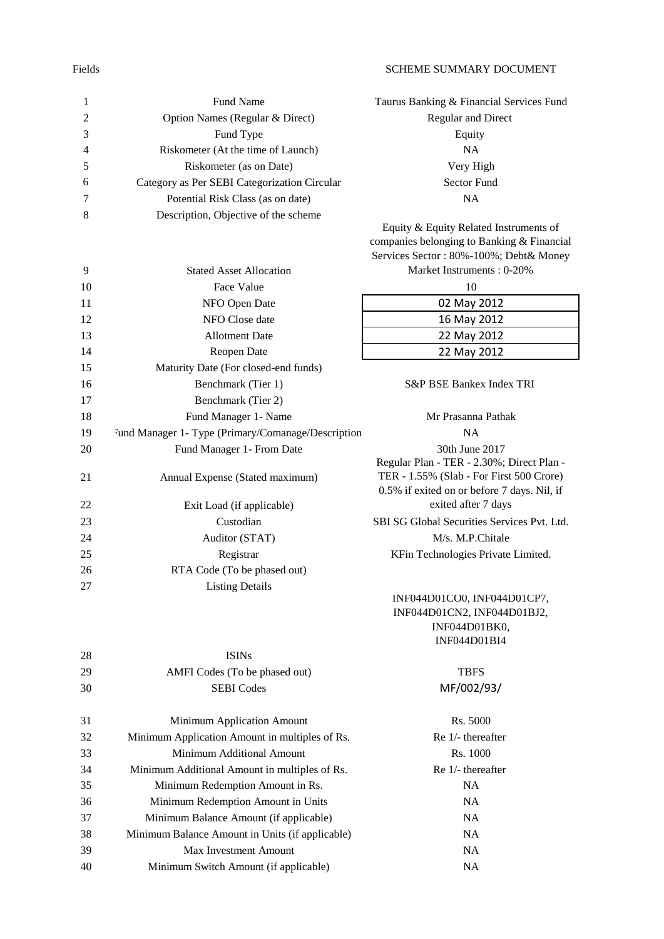## Fields SCHEME SUMMARY DOCUMENT

| $\mathbf{1}$   | Fund Name                                          | Taurus Banking & Financial Services Fund     |
|----------------|----------------------------------------------------|----------------------------------------------|
| $\overline{c}$ | Option Names (Regular & Direct)                    | Regular and Direct                           |
| 3              | Fund Type                                          | Equity                                       |
| 4              | Riskometer (At the time of Launch)                 | <b>NA</b>                                    |
| 5              | Riskometer (as on Date)                            | Very High                                    |
| 6              | Category as Per SEBI Categorization Circular       | <b>Sector Fund</b>                           |
| 7              | Potential Risk Class (as on date)                  | NA                                           |
| 8              | Description, Objective of the scheme               |                                              |
|                |                                                    | Equity & Equity Related Instruments of       |
|                |                                                    | companies belonging to Banking & Financial   |
|                |                                                    | Services Sector: 80%-100%; Debt& Money       |
| 9              | <b>Stated Asset Allocation</b>                     | Market Instruments: 0-20%                    |
| 10             | Face Value                                         | 10                                           |
| 11             | NFO Open Date                                      | 02 May 2012                                  |
| 12             | NFO Close date                                     | 16 May 2012                                  |
| 13             | <b>Allotment Date</b>                              | 22 May 2012                                  |
| 14             | Reopen Date                                        | 22 May 2012                                  |
| 15             | Maturity Date (For closed-end funds)               |                                              |
| 16             | Benchmark (Tier 1)                                 | S&P BSE Bankex Index TRI                     |
| 17             | Benchmark (Tier 2)                                 |                                              |
| 18             | Fund Manager 1- Name                               | Mr Prasanna Pathak                           |
| 19             | Fund Manager 1- Type (Primary/Comanage/Description | <b>NA</b>                                    |
| 20             | Fund Manager 1- From Date                          | 30th June 2017                               |
|                |                                                    | Regular Plan - TER - 2.30%; Direct Plan -    |
| 21             | Annual Expense (Stated maximum)                    | TER - 1.55% (Slab - For First 500 Crore)     |
|                |                                                    | 0.5% if exited on or before 7 days. Nil, if  |
| 22             | Exit Load (if applicable)                          | exited after 7 days                          |
| 23             | Custodian                                          | SBI SG Global Securities Services Pvt. Ltd.  |
| 24             | Auditor (STAT)                                     | M/s. M.P.Chitale                             |
| 25             | Registrar                                          | KFin Technologies Private Limited.           |
| 26             | RTA Code (To be phased out)                        |                                              |
| 27             | <b>Listing Details</b>                             |                                              |
|                |                                                    | INF044D01CO0, INF044D01CP7,                  |
|                |                                                    | INF044D01CN2, INF044D01BJ2,<br>INF044D01BK0, |
|                |                                                    | <b>INF044D01BI4</b>                          |
| 28             | <b>ISIN</b> s                                      |                                              |

| ⊷  | 1911 19                                         |                   |
|----|-------------------------------------------------|-------------------|
| 29 | AMFI Codes (To be phased out)                   | <b>TBFS</b>       |
| 30 | <b>SEBI</b> Codes                               | MF/002/93/        |
| 31 | Minimum Application Amount                      | Rs. 5000          |
| 32 | Minimum Application Amount in multiples of Rs.  | Re 1/- thereafter |
| 33 | Minimum Additional Amount                       | Rs. 1000          |
| 34 | Minimum Additional Amount in multiples of Rs.   | Re 1/- thereafter |
| 35 | Minimum Redemption Amount in Rs.                | <b>NA</b>         |
| 36 | Minimum Redemption Amount in Units              | <b>NA</b>         |
| 37 | Minimum Balance Amount (if applicable)          | <b>NA</b>         |
| 38 | Minimum Balance Amount in Units (if applicable) | <b>NA</b>         |
| 39 | <b>Max Investment Amount</b>                    | <b>NA</b>         |

Minimum Switch Amount (if applicable) NA